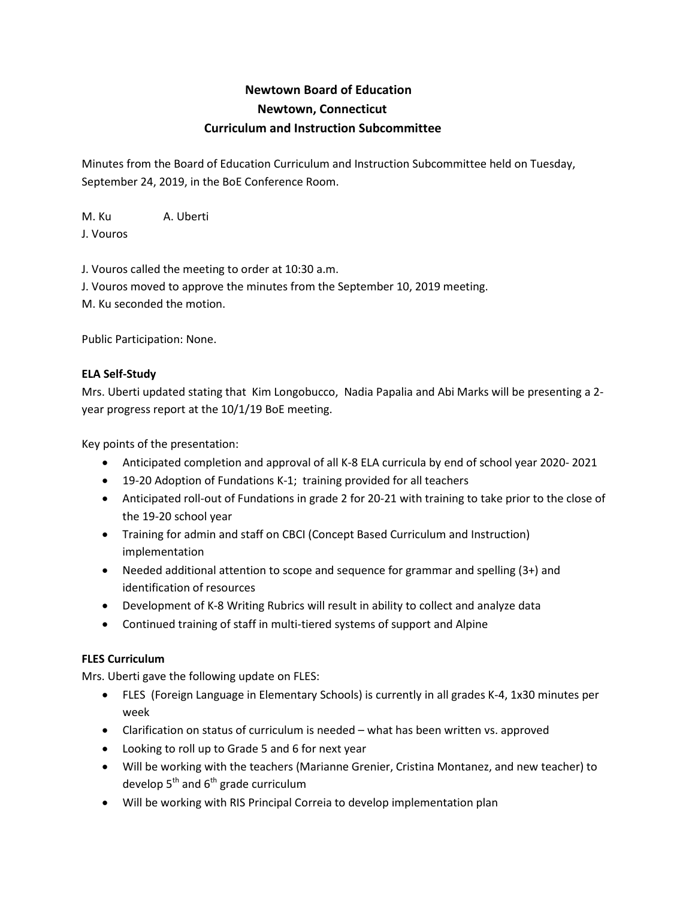# **Newtown Board of Education Newtown, Connecticut Curriculum and Instruction Subcommittee**

Minutes from the Board of Education Curriculum and Instruction Subcommittee held on Tuesday, September 24, 2019, in the BoE Conference Room.

M. Ku A. Uberti J. Vouros

J. Vouros called the meeting to order at 10:30 a.m.

J. Vouros moved to approve the minutes from the September 10, 2019 meeting. M. Ku seconded the motion.

Public Participation: None.

## **ELA Self-Study**

Mrs. Uberti updated stating that Kim Longobucco, Nadia Papalia and Abi Marks will be presenting a 2 year progress report at the 10/1/19 BoE meeting.

Key points of the presentation:

- Anticipated completion and approval of all K-8 ELA curricula by end of school year 2020- 2021
- 19-20 Adoption of Fundations K-1; training provided for all teachers
- Anticipated roll-out of Fundations in grade 2 for 20-21 with training to take prior to the close of the 19-20 school year
- Training for admin and staff on CBCI (Concept Based Curriculum and Instruction) implementation
- Needed additional attention to scope and sequence for grammar and spelling (3+) and identification of resources
- Development of K-8 Writing Rubrics will result in ability to collect and analyze data
- Continued training of staff in multi-tiered systems of support and Alpine

## **FLES Curriculum**

Mrs. Uberti gave the following update on FLES:

- FLES (Foreign Language in Elementary Schools) is currently in all grades K-4, 1x30 minutes per week
- Clarification on status of curriculum is needed what has been written vs. approved
- Looking to roll up to Grade 5 and 6 for next year
- Will be working with the teachers (Marianne Grenier, Cristina Montanez, and new teacher) to develop  $5^{th}$  and  $6^{th}$  grade curriculum
- Will be working with RIS Principal Correia to develop implementation plan